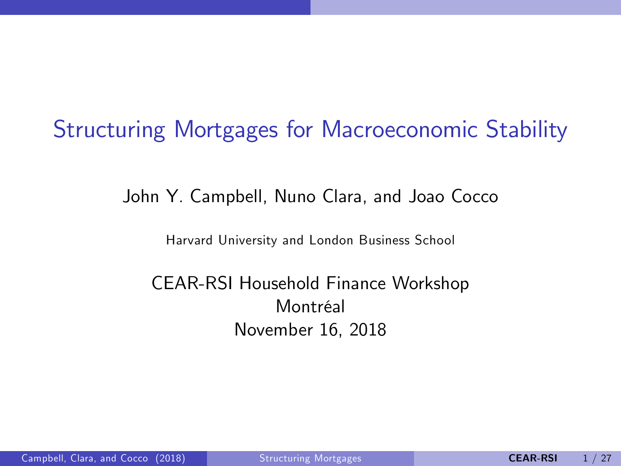# Structuring Mortgages for Macroeconomic Stability

John Y. Campbell, Nuno Clara, and Joao Cocco

Harvard University and London Business School

#### <span id="page-0-0"></span>CEAR-RSI Household Finance Workshop Montréal November 16, 2018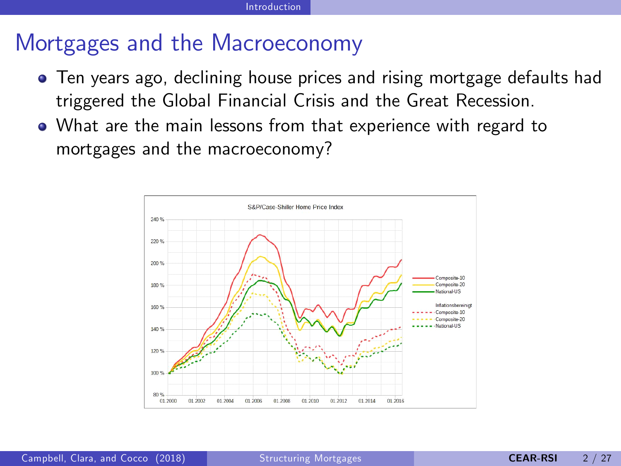## Mortgages and the Macroeconomy

- Ten years ago, declining house prices and rising mortgage defaults had triggered the Global Financial Crisis and the Great Recession.
- What are the main lessons from that experience with regard to mortgages and the macroeconomy?

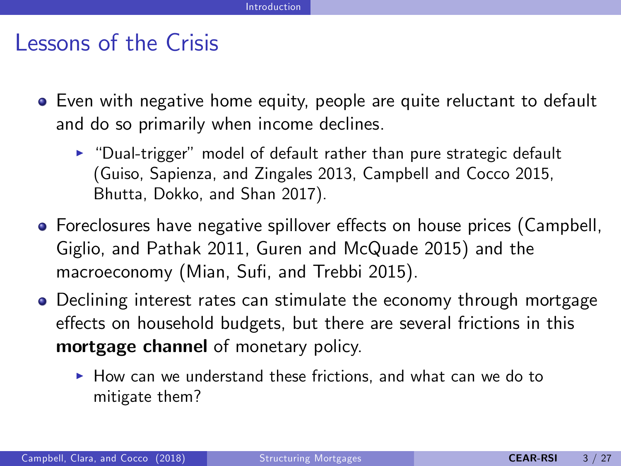## Lessons of the Crisis

- Even with negative home equity, people are quite reluctant to default and do so primarily when income declines.
	- $\blacktriangleright$  "Dual-trigger" model of default rather than pure strategic default (Guiso, Sapienza, and Zingales 2013, Campbell and Cocco 2015, Bhutta, Dokko, and Shan 2017).
- Foreclosures have negative spillover effects on house prices (Campbell, Giglio, and Pathak 2011, Guren and McQuade 2015) and the macroeconomy (Mian, Sufi, and Trebbi 2015).
- Declining interest rates can stimulate the economy through mortgage effects on household budgets, but there are several frictions in this mortgage channel of monetary policy.
	- $\blacktriangleright$  How can we understand these frictions, and what can we do to mitigate them?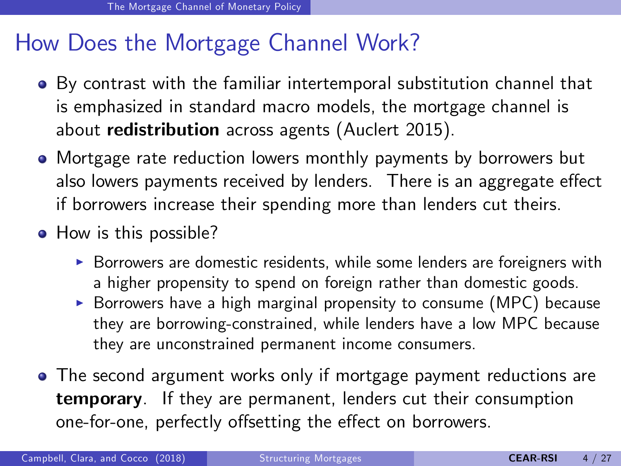## How Does the Mortgage Channel Work?

- By contrast with the familiar intertemporal substitution channel that is emphasized in standard macro models, the mortgage channel is about redistribution across agents (Auclert 2015).
- Mortgage rate reduction lowers monthly payments by borrowers but also lowers payments received by lenders. There is an aggregate effect if borrowers increase their spending more than lenders cut theirs.
- How is this possible?
	- $\triangleright$  Borrowers are domestic residents, while some lenders are foreigners with a higher propensity to spend on foreign rather than domestic goods.
	- $\triangleright$  Borrowers have a high marginal propensity to consume (MPC) because they are borrowing-constrained, while lenders have a low MPC because they are unconstrained permanent income consumers.
- The second argument works only if mortgage payment reductions are temporary. If they are permanent, lenders cut their consumption one-for-one, perfectly offsetting the effect on borrowers.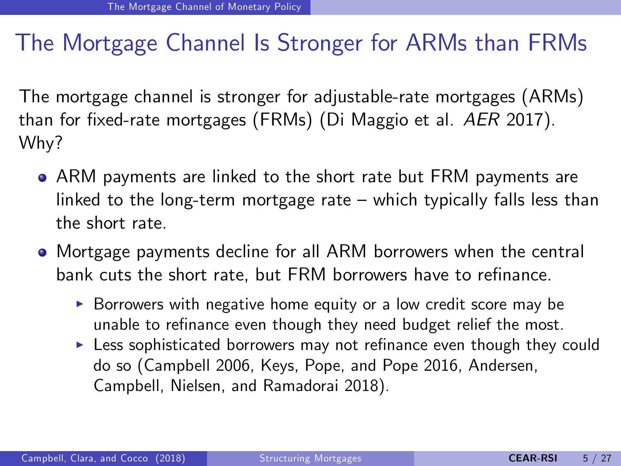## The Mortgage Channel Is Stronger for ARMs than FRMs

The mortgage channel is stronger for adjustable-rate mortgages (ARMs) than for fixed-rate mortgages (FRMs) (Di Maggio et al.  $AER$  2017). Why?

- ARM payments are linked to the short rate but FRM payments are linked to the long-term mortgage rate  $-$  which typically falls less than the short rate.
- Mortgage payments decline for all ARM borrowers when the central bank cuts the short rate, but FRM borrowers have to refinance.
	- $\triangleright$  Borrowers with negative home equity or a low credit score may be unable to refinance even though they need budget relief the most.
	- $\blacktriangleright$  Less sophisticated borrowers may not refinance even though they could do so (Campbell 2006, Keys, Pope, and Pope 2016, Andersen, Campbell, Nielsen, and Ramadorai 2018).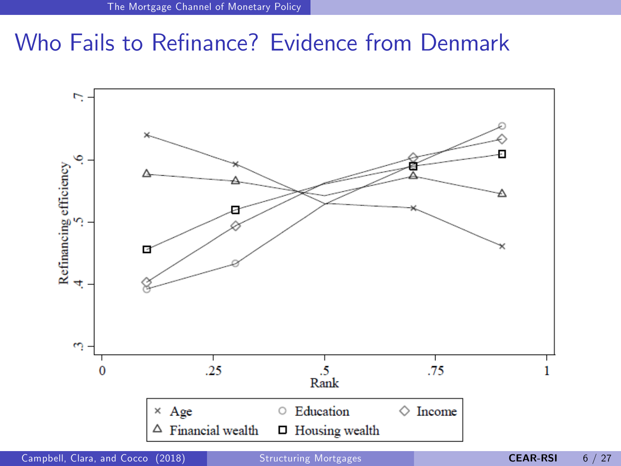## Who Fails to Refinance? Evidence from Denmark



Campbell, Clara, and Cocco (2018) [Structuring Mortgages](#page-0-0) CEAR-RSI 6/27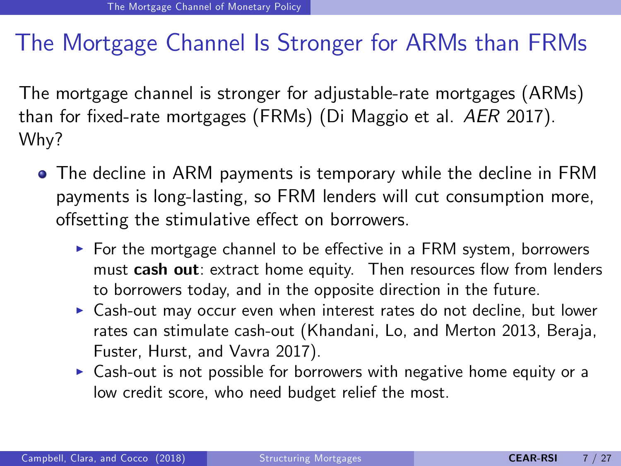## The Mortgage Channel Is Stronger for ARMs than FRMs

The mortgage channel is stronger for adjustable-rate mortgages (ARMs) than for fixed-rate mortgages (FRMs) (Di Maggio et al.  $AER$  2017). Why?

- The decline in ARM payments is temporary while the decline in FRM payments is long-lasting, so FRM lenders will cut consumption more, offsetting the stimulative effect on borrowers.
	- $\triangleright$  For the mortgage channel to be effective in a FRM system, borrowers must cash out: extract home equity. Then resources flow from lenders to borrowers today, and in the opposite direction in the future.
	- $\triangleright$  Cash-out may occur even when interest rates do not decline, but lower rates can stimulate cash-out (Khandani, Lo, and Merton 2013, Beraja, Fuster, Hurst, and Vavra 2017).
	- $\triangleright$  Cash-out is not possible for borrowers with negative home equity or a low credit score, who need budget relief the most.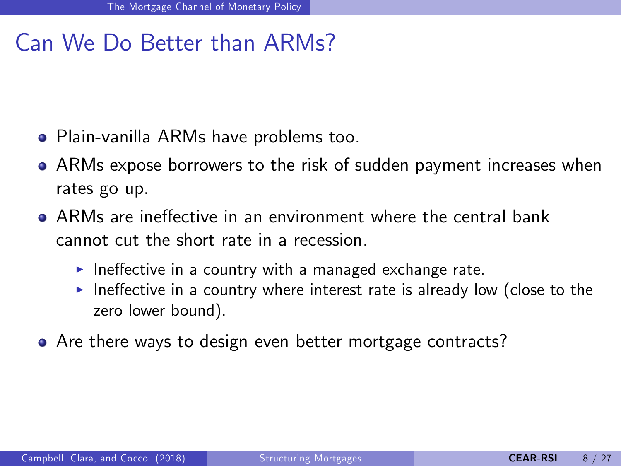## Can We Do Better than ARMs?

- Plain-vanilla ARMs have problems too.
- ARMs expose borrowers to the risk of sudden payment increases when rates go up.
- ARMs are ineffective in an environment where the central bank cannot cut the short rate in a recession.
	- Ineffective in a country with a managed exchange rate.
	- Ineffective in a country where interest rate is already low (close to the zero lower bound).
- Are there ways to design even better mortgage contracts?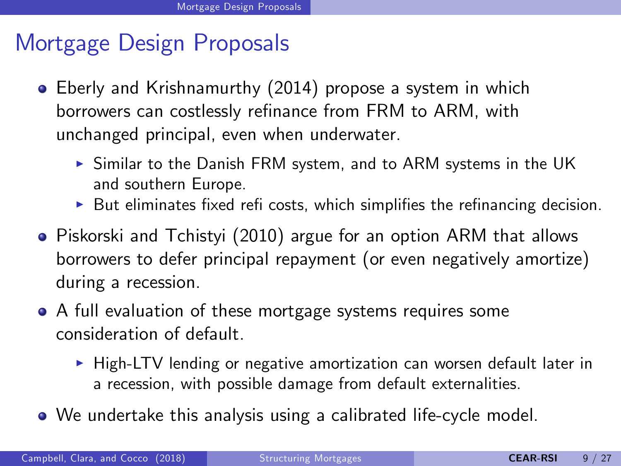## Mortgage Design Proposals

- Eberly and Krishnamurthy (2014) propose a system in which borrowers can costlessly refinance from FRM to ARM, with unchanged principal, even when underwater.
	- $\triangleright$  Similar to the Danish FRM system, and to ARM systems in the UK and southern Europe.
	- $\blacktriangleright$  But eliminates fixed refi costs, which simplifies the refinancing decision.
- Piskorski and Tchistyi (2010) argue for an option ARM that allows borrowers to defer principal repayment (or even negatively amortize) during a recession.
- A full evaluation of these mortgage systems requires some consideration of default.
	- $\triangleright$  High-LTV lending or negative amortization can worsen default later in a recession, with possible damage from default externalities.
- We undertake this analysis using a calibrated life-cycle model.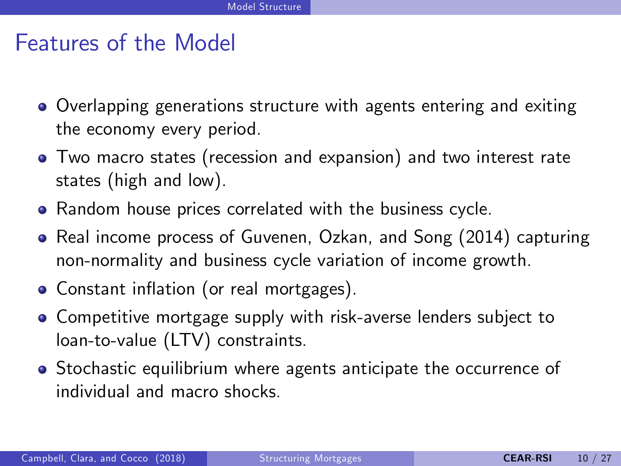## Features of the Model

- Overlapping generations structure with agents entering and exiting the economy every period.
- Two macro states (recession and expansion) and two interest rate states (high and low).
- **•** Random house prices correlated with the business cycle.
- Real income process of Guvenen, Ozkan, and Song (2014) capturing non-normality and business cycle variation of income growth.
- Constant inflation (or real mortgages).
- Competitive mortgage supply with risk-averse lenders subject to loan-to-value (LTV) constraints.
- Stochastic equilibrium where agents anticipate the occurrence of individual and macro shocks.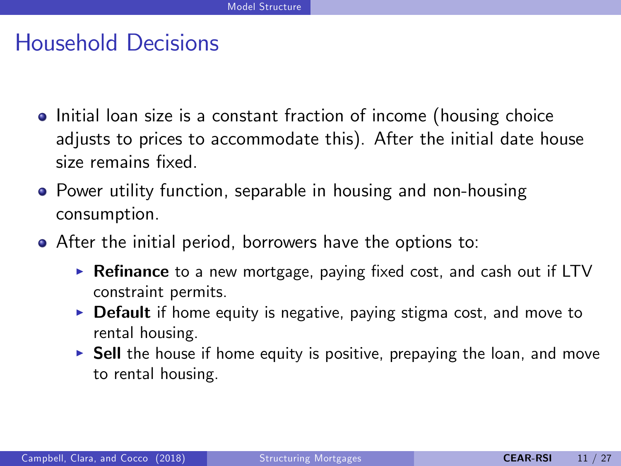## Household Decisions

- Initial loan size is a constant fraction of income (housing choice adjusts to prices to accommodate this). After the initial date house size remains fixed.
- Power utility function, separable in housing and non-housing consumption.
- After the initial period, borrowers have the options to:
	- $\triangleright$  Refinance to a new mortgage, paying fixed cost, and cash out if LTV constraint permits.
	- $\triangleright$  Default if home equity is negative, paying stigma cost, and move to rental housing.
	- $\triangleright$  Sell the house if home equity is positive, prepaying the loan, and move to rental housing.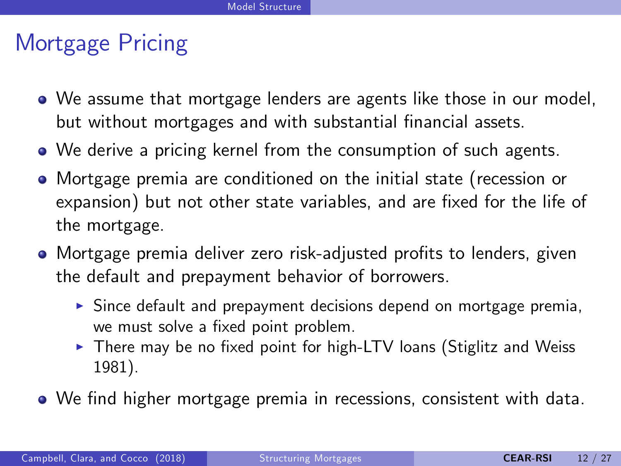## Mortgage Pricing

- We assume that mortgage lenders are agents like those in our model, but without mortgages and with substantial financial assets.
- We derive a pricing kernel from the consumption of such agents.
- Mortgage premia are conditioned on the initial state (recession or expansion) but not other state variables, and are fixed for the life of the mortgage.
- Mortgage premia deliver zero risk-adjusted profits to lenders, given the default and prepayment behavior of borrowers.
	- $\triangleright$  Since default and prepayment decisions depend on mortgage premia, we must solve a fixed point problem.
	- $\triangleright$  There may be no fixed point for high-LTV loans (Stiglitz and Weiss 1981).
- We find higher mortgage premia in recessions, consistent with data.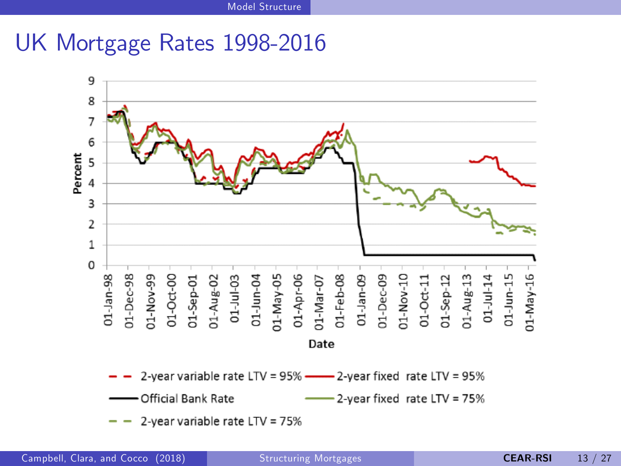### UK Mortgage Rates 1998-2016

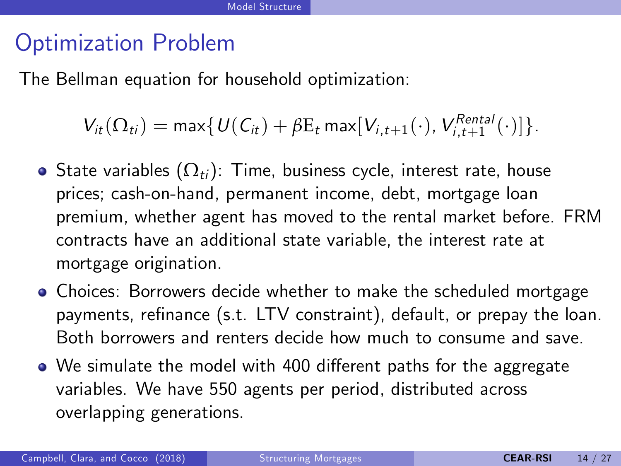## Optimization Problem

The Bellman equation for household optimization:

 $V_{it}(\Omega_{ti}) = \max\{U(C_{it}) + \beta E_t \max[V_{i,t+1}(\cdot), V_{i,t+1}^{Rental}(\cdot)]\}.$ 

- State variables  $(\Omega_{ti})$ : Time, business cycle, interest rate, house prices; cash-on-hand, permanent income, debt, mortgage loan premium, whether agent has moved to the rental market before. FRM contracts have an additional state variable, the interest rate at mortgage origination.
- Choices: Borrowers decide whether to make the scheduled mortgage payments, refinance (s.t. LTV constraint), default, or prepay the loan. Both borrowers and renters decide how much to consume and save.
- We simulate the model with 400 different paths for the aggregate variables. We have 550 agents per period, distributed across overlapping generations.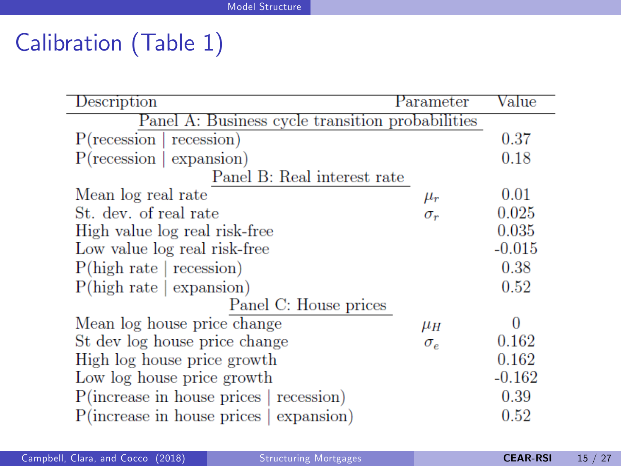# Calibration (Table 1)

| Description                                                | Parameter     | Value    |  |  |
|------------------------------------------------------------|---------------|----------|--|--|
| Panel A: Business cycle transition probabilities           |               |          |  |  |
| P(recession<br>recession)                                  |               | 0.37     |  |  |
| $P(\text{recession} \mid \text{expansion})$                |               | 0.18     |  |  |
| Panel B: Real interest rate                                |               |          |  |  |
| Mean log real rate                                         | $\mu_{\bm r}$ | 0.01     |  |  |
| St. dev. of real rate                                      | $\sigma_r$    | 0.025    |  |  |
| High value log real risk-free                              |               | 0.035    |  |  |
| Low value log real risk-free                               |               | $-0.015$ |  |  |
| P(high rate   recession)                                   |               | 0.38     |  |  |
| P(high rate   expansion)                                   |               | 0.52     |  |  |
| Panel C: House prices                                      |               |          |  |  |
| Mean log house price change                                | $\mu_H$       | $\Omega$ |  |  |
| St dev log house price change                              | $\sigma_e$    | 0.162    |  |  |
| High log house price growth                                |               | 0.162    |  |  |
| Low log house price growth                                 |               | $-0.162$ |  |  |
| $P(\text{increase in house prices} \mid \text{recession})$ |               | 0.39     |  |  |
| $P($ increase in house prices $ $ expansion $ $            |               | 0.52     |  |  |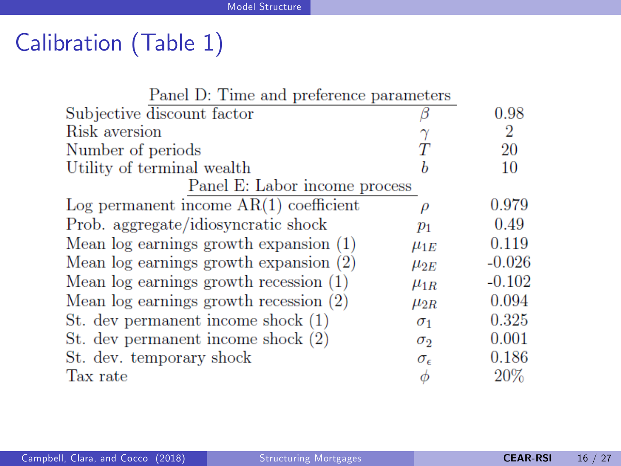# Calibration (Table 1)

| Panel D: Time and preference parameters    |                     |          |  |  |
|--------------------------------------------|---------------------|----------|--|--|
| Subjective discount factor                 |                     | 0.98     |  |  |
| Risk aversion                              |                     | 2        |  |  |
| Number of periods                          |                     | 20       |  |  |
| Utility of terminal wealth                 |                     | 10       |  |  |
| Panel E: Labor income process              |                     |          |  |  |
| Log permanent income $AR(1)$ coefficient   | D                   | 0.979    |  |  |
| Prob. aggregate/idiosyncratic shock        | $p_1$               | 0.49     |  |  |
| Mean $log$ earnings growth expansion $(1)$ | $\mu_{1E}$          | 0.119    |  |  |
| Mean log earnings growth expansion (2)     | $\mu_{2E}$          | $-0.026$ |  |  |
| Mean $log$ earnings growth recession $(1)$ | $\mu_{1R}$          | $-0.102$ |  |  |
| Mean $log$ earnings growth recession $(2)$ | $\mu_{2R}$          | 0.094    |  |  |
| St. dev permanent income shock (1)         | $\sigma_1$          | 0.325    |  |  |
| St. dev permanent income shock (2)         | $\sigma_2$          | 0.001    |  |  |
| St. dev. temporary shock                   | $\sigma_{\epsilon}$ | 0.186    |  |  |
| Tax rate                                   | Ф                   | 20\%     |  |  |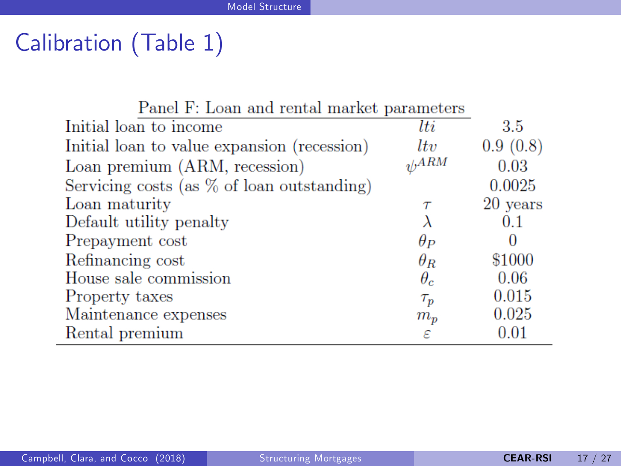# Calibration (Table 1)

| Panel F: Loan and rental market parameters    |            |          |
|-----------------------------------------------|------------|----------|
| Initial loan to income                        | lti        | 3.5      |
| Initial loan to value expansion (recession)   | ltv        | 0.9(0.8) |
| Loan premium (ARM, recession)                 | $\eta/ARM$ | 0.03     |
| Servicing costs (as $\%$ of loan outstanding) |            | 0.0025   |
| Loan maturity                                 | $\tau$     | 20 years |
| Default utility penalty                       |            | 0.1      |
| Prepayment cost                               | $\theta_P$ |          |
| Refinancing cost                              | $\theta_R$ | \$1000   |
| House sale commission                         | $\theta_c$ | 0.06     |
| Property taxes                                | $\tau_{p}$ | 0.015    |
| Maintenance expenses                          | $m_p$      | 0.025    |
| Rental premium                                | ε          | 0.01     |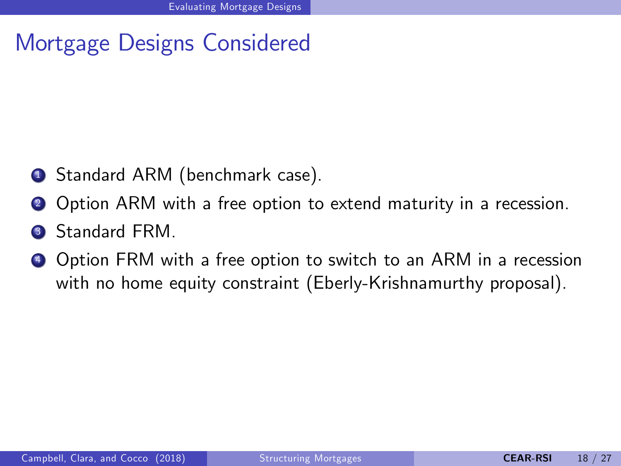## Mortgage Designs Considered

- **1** Standard ARM (benchmark case).
- **2** Option ARM with a free option to extend maturity in a recession.
- Standard FRM.
- **4** Option FRM with a free option to switch to an ARM in a recession with no home equity constraint (Eberly-Krishnamurthy proposal).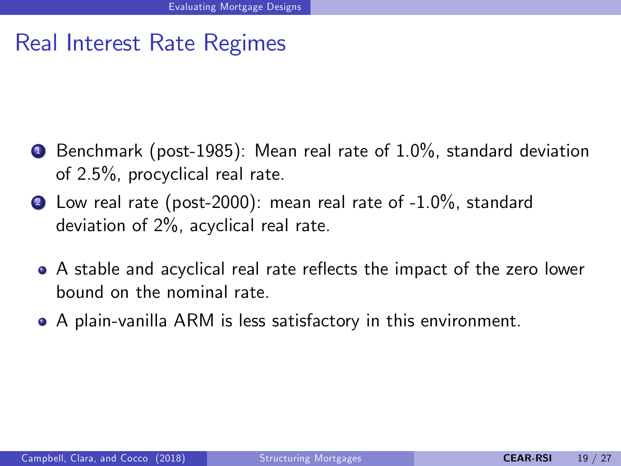## Real Interest Rate Regimes

- $\bullet$  Benchmark (post-1985): Mean real rate of 1.0%, standard deviation of 2.5%, procyclical real rate.
- 2 Low real rate (post-2000): mean real rate of -1.0%, standard deviation of 2%, acyclical real rate.
	- A stable and acyclical real rate reflects the impact of the zero lower bound on the nominal rate.
	- A plain-vanilla ARM is less satisfactory in this environment.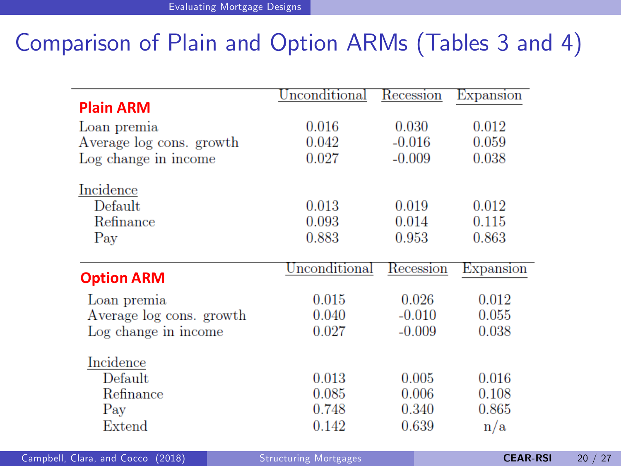# Comparison of Plain and Option ARMs (Tables 3 and 4)

|                          | Unconditional | Recession | Expansion |
|--------------------------|---------------|-----------|-----------|
| <b>Plain ARM</b>         |               |           |           |
| Loan premia              | 0.016         | 0.030     | 0.012     |
| Average log cons. growth | 0.042         | $-0.016$  | 0.059     |
| Log change in income     | 0.027         | $-0.009$  | 0.038     |
| Incidence                |               |           |           |
| Default                  | 0.013         | 0.019     | 0.012     |
| Refinance                | 0.093         | 0.014     | 0.115     |
| Pay                      | 0.883         | 0.953     | 0.863     |
| <b>Option ARM</b>        | Unconditional | Recession | Expansion |
| Loan premia              | 0.015         | 0.026     | 0.012     |
| Average log cons. growth | 0.040         | $-0.010$  | 0.055     |
| Log change in income     | 0.027         | $-0.009$  | 0.038     |
| Incidence                |               |           |           |
| Default                  | 0.013         | 0.005     | 0.016     |
| Refinance                | 0.085         | 0.006     | 0.108     |
| Pay                      | 0.748         | 0.340     | 0.865     |
| Extend                   | 0.142         | 0.639     | n/a       |

Campbell, Clara, and Cocco (2018) [Structuring Mortgages](#page-0-0) CEAR-RSI 20 / 27

÷,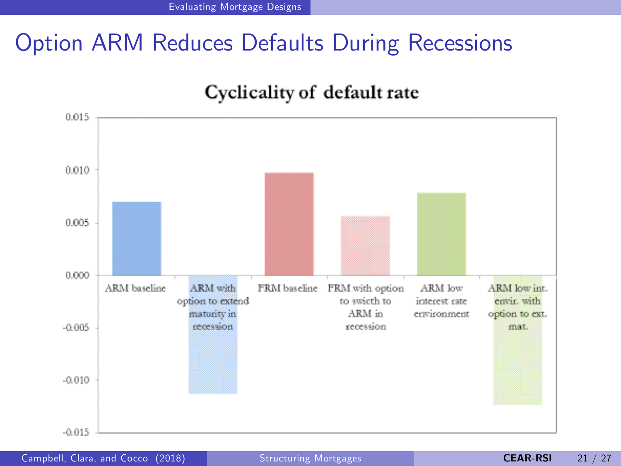# Option ARM Reduces Defaults During Recessions





Campbell, Clara, and Cocco (2018) [Structuring Mortgages](#page-0-0) CEAR-RSI 21 / 27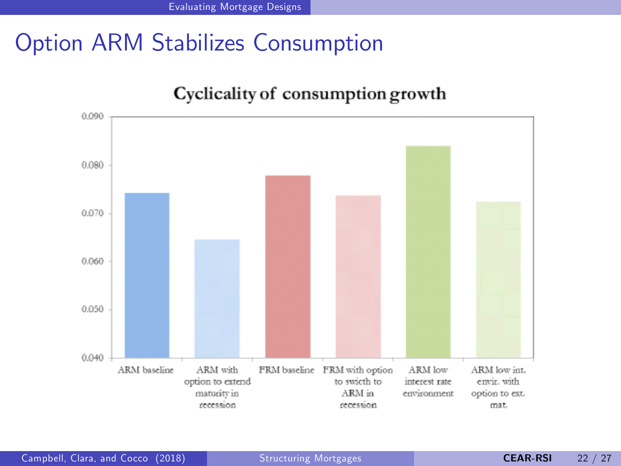## Option ARM Stabilizes Consumption



Cyclicality of consumption growth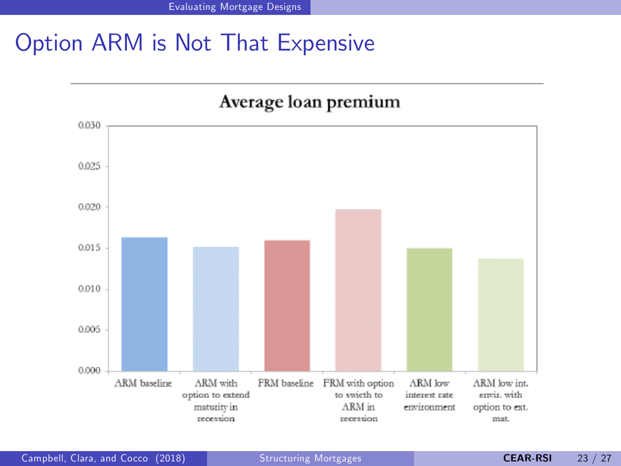# Option ARM is Not That Expensive



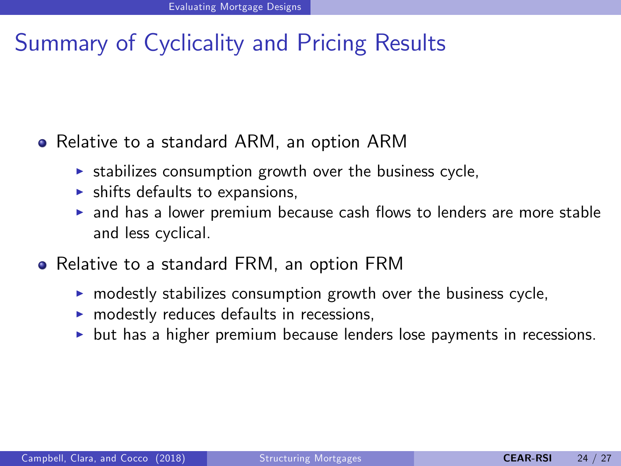## Summary of Cyclicality and Pricing Results

#### Relative to a standard ARM, an option ARM

- $\triangleright$  stabilizes consumption growth over the business cycle,
- $\blacktriangleright$  shifts defaults to expansions,
- $\triangleright$  and has a lower premium because cash flows to lenders are more stable and less cyclical.
- Relative to a standard FRM, an option FRM
	- $\triangleright$  modestly stabilizes consumption growth over the business cycle,
	- $\triangleright$  modestly reduces defaults in recessions,
	- $\triangleright$  but has a higher premium because lenders lose payments in recessions.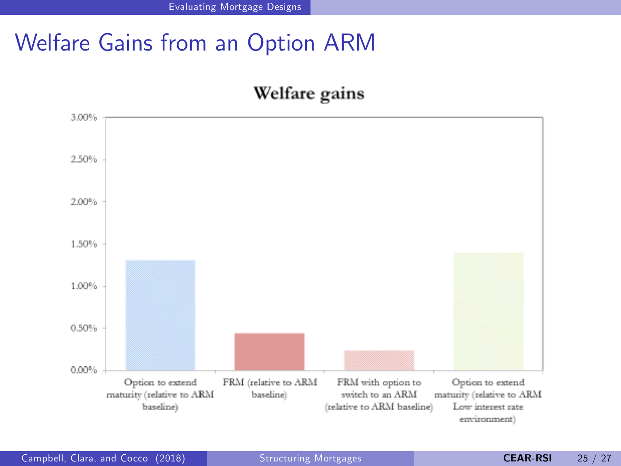# Welfare Gains from an Option ARM

#### Welfare gains

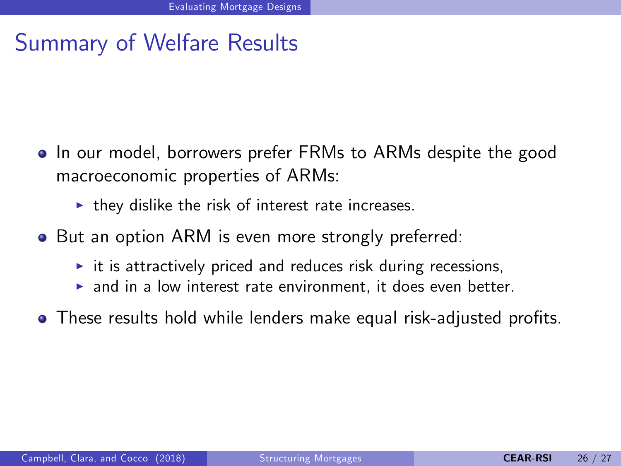## Summary of Welfare Results

- In our model, borrowers prefer FRMs to ARMs despite the good macroeconomic properties of ARMs:
	- $\blacktriangleright$  they dislike the risk of interest rate increases.
- But an option ARM is even more strongly preferred:
	- $\triangleright$  it is attractively priced and reduces risk during recessions,
	- $\triangleright$  and in a low interest rate environment, it does even better.
- These results hold while lenders make equal risk-adjusted profits.